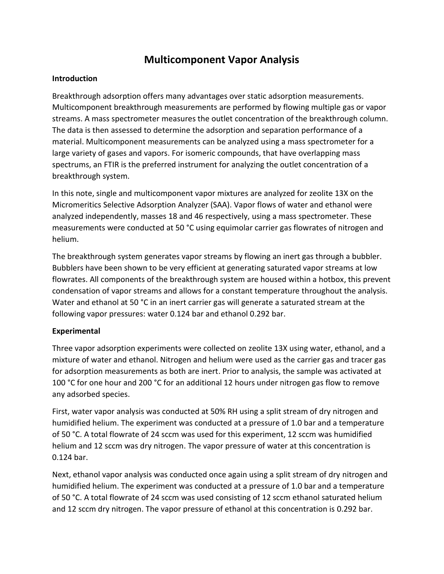# **Multicomponent Vapor Analysis**

#### **Introduction**

Breakthrough adsorption offers many advantages over static adsorption measurements. Multicomponent breakthrough measurements are performed by flowing multiple gas or vapor streams. A mass spectrometer measures the outlet concentration of the breakthrough column. The data is then assessed to determine the adsorption and separation performance of a material. Multicomponent measurements can be analyzed using a mass spectrometer for a large variety of gases and vapors. For isomeric compounds, that have overlapping mass spectrums, an FTIR is the preferred instrument for analyzing the outlet concentration of a breakthrough system.

In this note, single and multicomponent vapor mixtures are analyzed for zeolite 13X on the Micromeritics Selective Adsorption Analyzer (SAA). Vapor flows of water and ethanol were analyzed independently, masses 18 and 46 respectively, using a mass spectrometer. These measurements were conducted at 50 °C using equimolar carrier gas flowrates of nitrogen and helium.

The breakthrough system generates vapor streams by flowing an inert gas through a bubbler. Bubblers have been shown to be very efficient at generating saturated vapor streams at low flowrates. All components of the breakthrough system are housed within a hotbox, this prevent condensation of vapor streams and allows for a constant temperature throughout the analysis. Water and ethanol at 50 °C in an inert carrier gas will generate a saturated stream at the following vapor pressures: water 0.124 bar and ethanol 0.292 bar.

#### **Experimental**

Three vapor adsorption experiments were collected on zeolite 13X using water, ethanol, and a mixture of water and ethanol. Nitrogen and helium were used as the carrier gas and tracer gas for adsorption measurements as both are inert. Prior to analysis, the sample was activated at 100 °C for one hour and 200 °C for an additional 12 hours under nitrogen gas flow to remove any adsorbed species.

First, water vapor analysis was conducted at 50% RH using a split stream of dry nitrogen and humidified helium. The experiment was conducted at a pressure of 1.0 bar and a temperature of 50 °C. A total flowrate of 24 sccm was used for this experiment, 12 sccm was humidified helium and 12 sccm was dry nitrogen. The vapor pressure of water at this concentration is 0.124 bar.

Next, ethanol vapor analysis was conducted once again using a split stream of dry nitrogen and humidified helium. The experiment was conducted at a pressure of 1.0 bar and a temperature of 50 °C. A total flowrate of 24 sccm was used consisting of 12 sccm ethanol saturated helium and 12 sccm dry nitrogen. The vapor pressure of ethanol at this concentration is 0.292 bar.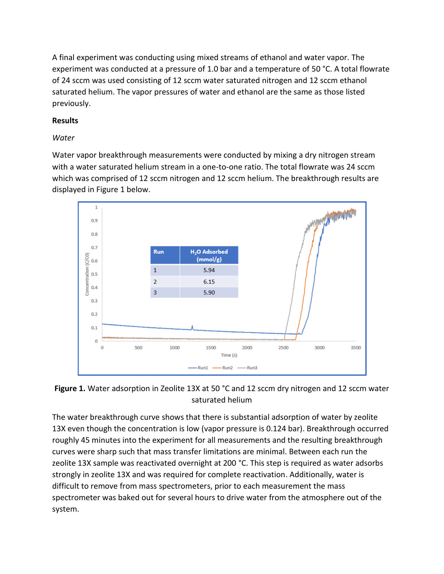A final experiment was conducting using mixed streams of ethanol and water vapor. The experiment was conducted at a pressure of 1.0 bar and a temperature of 50 °C. A total flowrate of 24 sccm was used consisting of 12 sccm water saturated nitrogen and 12 sccm ethanol saturated helium. The vapor pressures of water and ethanol are the same as those listed previously.

## **Results**

### *Water*

Water vapor breakthrough measurements were conducted by mixing a dry nitrogen stream with a water saturated helium stream in a one-to-one ratio. The total flowrate was 24 sccm which was comprised of 12 sccm nitrogen and 12 sccm helium. The breakthrough results are displayed in Figure 1 below.



Figure 1. Water adsorption in Zeolite 13X at 50 °C and 12 sccm dry nitrogen and 12 sccm water saturated helium

The water breakthrough curve shows that there is substantial adsorption of water by zeolite 13X even though the concentration is low (vapor pressure is 0.124 bar). Breakthrough occurred roughly 45 minutes into the experiment for all measurements and the resulting breakthrough curves were sharp such that mass transfer limitations are minimal. Between each run the zeolite 13X sample was reactivated overnight at 200 °C. This step is required as water adsorbs strongly in zeolite 13X and was required for complete reactivation. Additionally, water is difficult to remove from mass spectrometers, prior to each measurement the mass spectrometer was baked out for several hours to drive water from the atmosphere out of the system.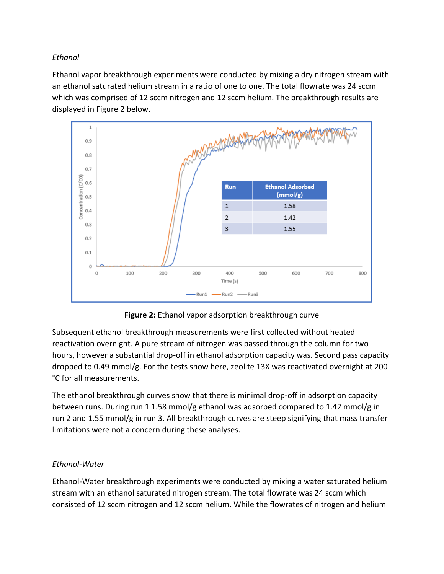### *Ethanol*

Ethanol vapor breakthrough experiments were conducted by mixing a dry nitrogen stream with an ethanol saturated helium stream in a ratio of one to one. The total flowrate was 24 sccm which was comprised of 12 sccm nitrogen and 12 sccm helium. The breakthrough results are displayed in Figure 2 below.



**Figure 2:** Ethanol vapor adsorption breakthrough curve

Subsequent ethanol breakthrough measurements were first collected without heated reactivation overnight. A pure stream of nitrogen was passed through the column for two hours, however a substantial drop-off in ethanol adsorption capacity was. Second pass capacity dropped to 0.49 mmol/g. For the tests show here, zeolite 13X was reactivated overnight at 200 °C for all measurements.

The ethanol breakthrough curves show that there is minimal drop-off in adsorption capacity between runs. During run 1 1.58 mmol/g ethanol was adsorbed compared to 1.42 mmol/g in run 2 and 1.55 mmol/g in run 3. All breakthrough curves are steep signifying that mass transfer limitations were not a concern during these analyses.

# *Ethanol-Water*

Ethanol-Water breakthrough experiments were conducted by mixing a water saturated helium stream with an ethanol saturated nitrogen stream. The total flowrate was 24 sccm which consisted of 12 sccm nitrogen and 12 sccm helium. While the flowrates of nitrogen and helium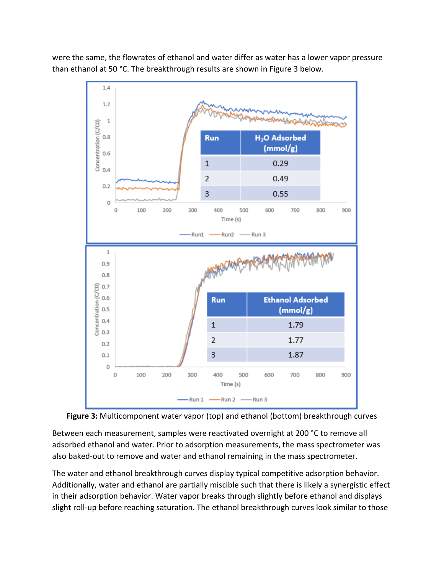were the same, the flowrates of ethanol and water differ as water has a lower vapor pressure than ethanol at 50 °C. The breakthrough results are shown in Figure 3 below.





Between each measurement, samples were reactivated overnight at 200 °C to remove all adsorbed ethanol and water. Prior to adsorption measurements, the mass spectrometer was also baked-out to remove and water and ethanol remaining in the mass spectrometer.

The water and ethanol breakthrough curves display typical competitive adsorption behavior. Additionally, water and ethanol are partially miscible such that there is likely a synergistic effect in their adsorption behavior. Water vapor breaks through slightly before ethanol and displays slight roll-up before reaching saturation. The ethanol breakthrough curves look similar to those